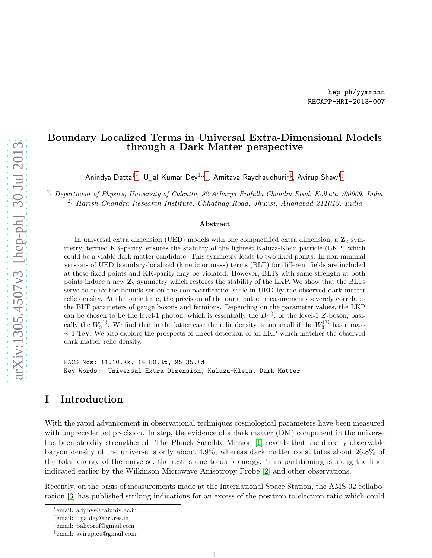## Boundary Localized Terms in Universal Extra-Dimensional Models through a Dark Matter perspective

Anindya Datta $^{1*}$ , Ujjal Kumar Dey $^{1,2\dagger},$  Amitava Raychaudhuri $^{1\ddagger},$  Avirup Shaw $^{1\S}$ 

1) Department of Physics, University of Calcutta, 92 Acharya Prafulla Chandra Road, Kolkata 700009, India 2) Harish-Chandra Research Institute, Chhatnag Road, Jhunsi, Allahabad 211019, India

### Abstract

In universal extra dimension (UED) models with one compactified extra dimension, a  $\mathbb{Z}_2$  symmetry, termed KK-parity, ensures the stability of the lightest Kaluza-Klein particle (LKP) which could be a viable dark matter candidate. This symmetry leads to two fixed points. In non-minimal versions of UED boundary-localized (kinetic or mass) terms (BLT) for different fields are included at these fixed points and KK-parity may be violated. However, BLTs with same strength at both points induce a new  $\mathbb{Z}_2$  symmetry which restores the stability of the LKP. We show that the BLTs serve to relax the bounds set on the compactification scale in UED by the observed dark matter relic density. At the same time, the precision of the dark matter measurements severely correlates the BLT parameters of gauge bosons and fermions. Depending on the parameter values, the LKP can be chosen to be the level-1 photon, which is essentially the  $B^{(1)}$ , or the level-1 Z-boson, basically the  $W_3^{(1)}$ . We find that in the latter case the relic density is too small if the  $W_3^{(1)}$  has a mass  $\sim$  1 TeV. We also explore the prospects of direct detection of an LKP which matches the observed dark matter relic density.

PACS Nos: 11.10.Kk, 14.80.Rt, 95.35.+d Key Words: Universal Extra Dimension, Kaluza-Klein, Dark Matter

## I Introduction

With the rapid advancement in observational techniques cosmological parameters have been measured with unprecedented precision. In step, the evidence of a dark matter (DM) component in the universe has been steadily strengthened. The Planck Satellite Mission [\[1\]](#page-19-0) reveals that the directly observable baryon density of the universe is only about 4.9%, whereas dark matter constitutes about 26.8% of the total energy of the universe, the rest is due to dark energy. This partitioning is along the lines indicated earlier by the Wilkinson Microwave Anisotropy Probe [\[2\]](#page-19-1) and other observations.

Recently, on the basis of measurements made at the International Space Station, the AMS-02 collaboration [\[3\]](#page-20-0) has published striking indications for an excess of the positron to electron ratio which could

<sup>∗</sup> email: adphys@caluniv.ac.in

<span id="page-0-0"></span><sup>†</sup> email: ujjaldey@hri.res.in

<span id="page-0-1"></span><sup>‡</sup> email: palitprof@gmail.com

<span id="page-0-3"></span><span id="page-0-2"></span><sup>§</sup> email: avirup.cu@gmail.com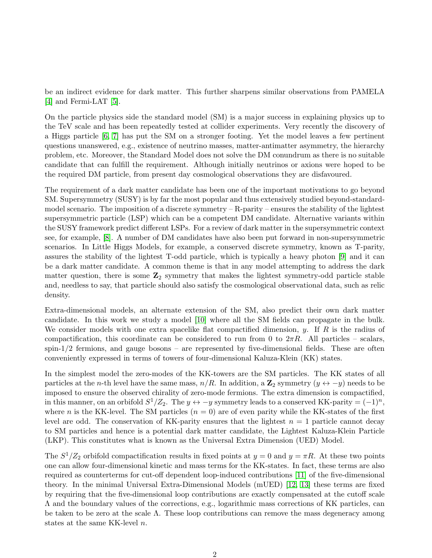be an indirect evidence for dark matter. This further sharpens similar observations from PAMELA [\[4\]](#page-20-1) and Fermi-LAT [\[5\]](#page-20-2).

On the particle physics side the standard model (SM) is a major success in explaining physics up to the TeV scale and has been repeatedly tested at collider experiments. Very recently the discovery of a Higgs particle [\[6,](#page-20-3) [7\]](#page-20-4) has put the SM on a stronger footing. Yet the model leaves a few pertinent questions unanswered, e.g., existence of neutrino masses, matter-antimatter asymmetry, the hierarchy problem, etc. Moreover, the Standard Model does not solve the DM conundrum as there is no suitable candidate that can fulfill the requirement. Although initially neutrinos or axions were hoped to be the required DM particle, from present day cosmological observations they are disfavoured.

The requirement of a dark matter candidate has been one of the important motivations to go beyond SM. Supersymmetry (SUSY) is by far the most popular and thus extensively studied beyond-standardmodel scenario. The imposition of a discrete symmetry  $-R$ -parity – ensures the stability of the lightest supersymmetric particle (LSP) which can be a competent DM candidate. Alternative variants within the SUSY framework predict different LSPs. For a review of dark matter in the supersymmetric context see, for example, [\[8\]](#page-20-5). A number of DM candidates have also been put forward in non-supersymmetric scenarios. In Little Higgs Models, for example, a conserved discrete symmetry, known as T-parity, assures the stability of the lightest T-odd particle, which is typically a heavy photon [\[9\]](#page-20-6) and it can be a dark matter candidate. A common theme is that in any model attempting to address the dark matter question, there is some  $\mathbb{Z}_2$  symmetry that makes the lightest symmetry-odd particle stable and, needless to say, that particle should also satisfy the cosmological observational data, such as relic density.

Extra-dimensional models, an alternate extension of the SM, also predict their own dark matter candidate. In this work we study a model [\[10\]](#page-20-7) where all the SM fields can propagate in the bulk. We consider models with one extra spacelike flat compactified dimension,  $y$ . If R is the radius of compactification, this coordinate can be considered to run from 0 to  $2\pi R$ . All particles – scalars,  $spin-1/2$  fermions, and gauge bosons – are represented by five-dimensional fields. These are often conveniently expressed in terms of towers of four-dimensional Kaluza-Klein (KK) states.

In the simplest model the zero-modes of the KK-towers are the SM particles. The KK states of all particles at the n-th level have the same mass,  $n/R$ . In addition, a  $\mathbb{Z}_2$  symmetry  $(y \leftrightarrow -y)$  needs to be imposed to ensure the observed chirality of zero-mode fermions. The extra dimension is compactified, in this manner, on an orbifold  $S^1/Z_2$ . The  $y \leftrightarrow -y$  symmetry leads to a conserved KK-parity =  $(-1)^n$ , where n is the KK-level. The SM particles  $(n = 0)$  are of even parity while the KK-states of the first level are odd. The conservation of KK-parity ensures that the lightest  $n = 1$  particle cannot decay to SM particles and hence is a potential dark matter candidate, the Lightest Kaluza-Klein Particle (LKP). This constitutes what is known as the Universal Extra Dimension (UED) Model.

The  $S^1/Z_2$  orbifold compactification results in fixed points at  $y=0$  and  $y=\pi R$ . At these two points one can allow four-dimensional kinetic and mass terms for the KK-states. In fact, these terms are also required as counterterms for cut-off dependent loop-induced contributions [\[11\]](#page-20-8) of the five-dimensional theory. In the minimal Universal Extra-Dimensional Models (mUED) [\[12,](#page-20-9) [13\]](#page-20-10) these terms are fixed by requiring that the five-dimensional loop contributions are exactly compensated at the cutoff scale Λ and the boundary values of the corrections, e.g., logarithmic mass corrections of KK particles, can be taken to be zero at the scale  $\Lambda$ . These loop contributions can remove the mass degeneracy among states at the same KK-level n.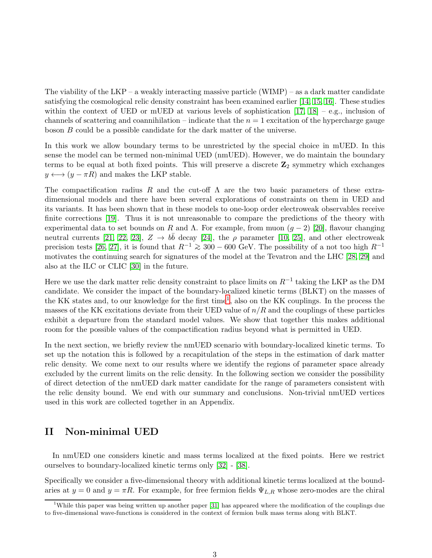The viability of the  $LKP - a$  weakly interacting massive particle  $(WIMP) - as a dark matter candidate$ satisfying the cosmological relic density constraint has been examined earlier [\[14,](#page-20-11) [15,](#page-20-12) [16\]](#page-20-13). These studies within the context of UED or mUED at various levels of sophistication  $[17, 18]$  $[17, 18]$  – e.g., inclusion of channels of scattering and coannihilation – indicate that the  $n = 1$  excitation of the hypercharge gauge boson B could be a possible candidate for the dark matter of the universe.

In this work we allow boundary terms to be unrestricted by the special choice in mUED. In this sense the model can be termed non-minimal UED (nmUED). However, we do maintain the boundary terms to be equal at both fixed points. This will preserve a discrete  $\mathbb{Z}_2$  symmetry which exchanges  $y \longleftrightarrow (y - \pi R)$  and makes the LKP stable.

The compactification radius R and the cut-off  $\Lambda$  are the two basic parameters of these extradimensional models and there have been several explorations of constraints on them in UED and its variants. It has been shown that in these models to one-loop order electroweak observables receive finite corrections [\[19\]](#page-20-16). Thus it is not unreasonable to compare the predictions of the theory with experimental data to set bounds on R and  $\Lambda$ . For example, from muon  $(g-2)$  [\[20\]](#page-20-17), flavour changing neutral currents [\[21,](#page-20-18) [22,](#page-20-19) [23\]](#page-20-20),  $Z \to b\bar{b}$  decay [\[24\]](#page-20-21), the  $\rho$  parameter [\[10,](#page-20-7) [25\]](#page-21-0), and other electroweak precision tests [\[26,](#page-21-1) [27\]](#page-21-2), it is found that  $R^{-1} \ge 300 - 600$  GeV. The possibility of a not too high  $R^{-1}$ motivates the continuing search for signatures of the model at the Tevatron and the LHC [\[28,](#page-21-3) [29\]](#page-21-4) and also at the ILC or CLIC [\[30\]](#page-21-5) in the future.

Here we use the dark matter relic density constraint to place limits on  $R^{-1}$  taking the LKP as the DM candidate. We consider the impact of the boundary-localized kinetic terms (BLKT) on the masses of the KK states and, to our knowledge for the first time<sup>[1](#page-2-0)</sup>, also on the KK couplings. In the process the masses of the KK excitations deviate from their UED value of  $n/R$  and the couplings of these particles exhibit a departure from the standard model values. We show that together this makes additional room for the possible values of the compactification radius beyond what is permitted in UED.

In the next section, we briefly review the nmUED scenario with boundary-localized kinetic terms. To set up the notation this is followed by a recapitulation of the steps in the estimation of dark matter relic density. We come next to our results where we identify the regions of parameter space already excluded by the current limits on the relic density. In the following section we consider the possibility of direct detection of the nmUED dark matter candidate for the range of parameters consistent with the relic density bound. We end with our summary and conclusions. Non-trivial nmUED vertices used in this work are collected together in an Appendix.

### II Non-minimal UED

In nmUED one considers kinetic and mass terms localized at the fixed points. Here we restrict ourselves to boundary-localized kinetic terms only [\[32\]](#page-21-6) - [\[38\]](#page-22-0).

Specifically we consider a five-dimensional theory with additional kinetic terms localized at the boundaries at  $y = 0$  and  $y = \pi R$ . For example, for free fermion fields  $\Psi_{L,R}$  whose zero-modes are the chiral

<span id="page-2-0"></span><sup>&</sup>lt;sup>1</sup>While this paper was being written up another paper [\[31\]](#page-21-7) has appeared where the modification of the couplings due to five-dimensional wave-functions is considered in the context of fermion bulk mass terms along with BLKT.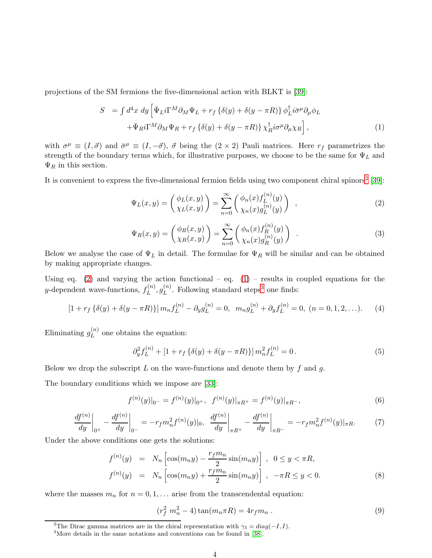projections of the SM fermions the five-dimensional action with BLKT is [\[39\]](#page-22-1):

<span id="page-3-2"></span>
$$
S = \int d^4x \, dy \left[ \bar{\Psi}_L i \Gamma^M \partial_M \Psi_L + r_f \left\{ \delta(y) + \delta(y - \pi R) \right\} \phi_L^{\dagger} i \bar{\sigma}^\mu \partial_\mu \phi_L \right. \left. + \bar{\Psi}_R i \Gamma^M \partial_M \Psi_R + r_f \left\{ \delta(y) + \delta(y - \pi R) \right\} \chi_R^{\dagger} i \sigma^\mu \partial_\mu \chi_R \right],
$$
\n(1)

with  $\sigma^{\mu} \equiv (I, \vec{\sigma})$  and  $\bar{\sigma}^{\mu} \equiv (I, -\vec{\sigma})$ ,  $\vec{\sigma}$  being the  $(2 \times 2)$  Pauli matrices. Here  $r_f$  parametrizes the strength of the boundary terms which, for illustrative purposes, we choose to be the same for  $\Psi_L$  and  $\Psi_R$  in this section.

It is convenient to express the five-dimensional fermion fields using two component chiral spinors<sup>[2](#page-3-0)</sup> [\[39\]](#page-22-1):

<span id="page-3-1"></span>
$$
\Psi_L(x,y) = \begin{pmatrix} \phi_L(x,y) \\ \chi_L(x,y) \end{pmatrix} = \sum_{n=0}^{\infty} \begin{pmatrix} \phi_n(x) f_L^{(n)}(y) \\ \chi_n(x) g_L^{(n)}(y) \end{pmatrix} , \qquad (2)
$$

$$
\Psi_R(x,y) = \begin{pmatrix} \phi_R(x,y) \\ \chi_R(x,y) \end{pmatrix} = \sum_{n=0}^{\infty} \begin{pmatrix} \phi_n(x) f_R^{(n)}(y) \\ \chi_n(x) g_R^{(n)}(y) \end{pmatrix} . \tag{3}
$$

Below we analyse the case of  $\Psi_L$  in detail. The formulae for  $\Psi_R$  will be similar and can be obtained by making appropriate changes.

Using eq. [\(2\)](#page-3-1) and varying the action functional – eq. [\(1\)](#page-3-2) – results in coupled equations for the y-dependent wave-functions,  $f_L^{(n)}$  $g_L^{(n)}, g_L^{(n)}$  $L^{(n)}$ . Following standard steps<sup>[3](#page-3-3)</sup> one finds:

$$
[1 + r_f \{\delta(y) + \delta(y - \pi R)\}] m_n f_L^{(n)} - \partial_y g_L^{(n)} = 0, \quad m_n g_L^{(n)} + \partial_y f_L^{(n)} = 0, \quad (n = 0, 1, 2, \ldots). \tag{4}
$$

Eliminating  $g_L^{(n)}$  $L^{(n)}$  one obtains the equation:

<span id="page-3-5"></span>
$$
\partial_y^2 f_L^{(n)} + [1 + r_f \{\delta(y) + \delta(y - \pi R)\}] m_n^2 f_L^{(n)} = 0.
$$
 (5)

Below we drop the subscript  $L$  on the wave-functions and denote them by  $f$  and  $g$ .

The boundary conditions which we impose are [\[33\]](#page-21-8):

$$
f^{(n)}(y)|_{0^-} = f^{(n)}(y)|_{0^+}, \ \ f^{(n)}(y)|_{\pi R^+} = f^{(n)}(y)|_{\pi R^-}, \tag{6}
$$

<span id="page-3-6"></span>
$$
\left. \frac{df^{(n)}}{dy} \right|_{0^+} - \left. \frac{df^{(n)}}{dy} \right|_{0^-} = -r_f m_n^2 f^{(n)}(y)|_0, \left. \frac{df^{(n)}}{dy} \right|_{\pi R^+} - \left. \frac{df^{(n)}}{dy} \right|_{\pi R^-} = -r_f m_n^2 f^{(n)}(y)|_{\pi R}. \tag{7}
$$

Under the above conditions one gets the solutions:

$$
f^{(n)}(y) = N_n \left[ \cos(m_n y) - \frac{r_f m_n}{2} \sin(m_n y) \right], \quad 0 \le y < \pi R,
$$
\n
$$
f^{(n)}(y) = N_n \left[ \cos(m_n y) + \frac{r_f m_n}{2} \sin(m_n y) \right], \quad -\pi R \le y < 0.
$$
\n
$$
(8)
$$

where the masses  $m_n$  for  $n = 0, 1, \ldots$  arise from the transcendental equation:

<span id="page-3-4"></span>
$$
(r_f^2 \; m_n^2 - 4) \tan(m_n \pi R) = 4r_f m_n \; . \tag{9}
$$

<sup>&</sup>lt;sup>2</sup>The Dirac gamma matrices are in the chiral representation with  $\gamma_5 = diag(-I, I)$ .

<span id="page-3-3"></span><span id="page-3-0"></span><sup>3</sup>More details in the same notations and conventions can be found in [\[38\]](#page-22-0).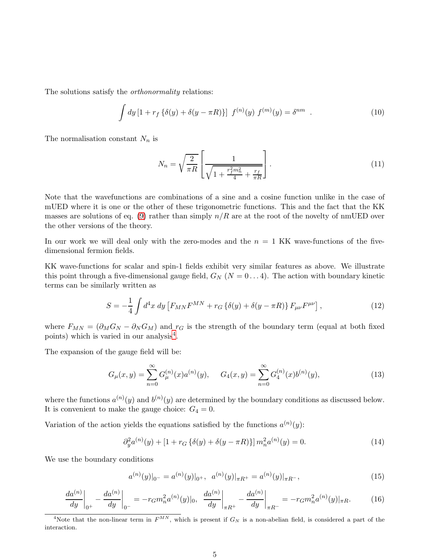The solutions satisfy the orthonormality relations:

$$
\int dy \left[1 + r_f \left\{\delta(y) + \delta(y - \pi R)\right\}\right] f^{(n)}(y) f^{(m)}(y) = \delta^{nm} . \tag{10}
$$

The normalisation constant  $N_n$  is

<span id="page-4-3"></span>
$$
N_n = \sqrt{\frac{2}{\pi R}} \left[ \frac{1}{\sqrt{1 + \frac{r_f^2 m_n^2}{4} + \frac{r_f}{\pi R}}} \right].
$$
 (11)

Note that the wavefunctions are combinations of a sine and a cosine function unlike in the case of mUED where it is one or the other of these trigonometric functions. This and the fact that the KK masses are solutions of eq. [\(9\)](#page-3-4) rather than simply  $n/R$  are at the root of the novelty of nmUED over the other versions of the theory.

In our work we will deal only with the zero-modes and the  $n = 1$  KK wave-functions of the fivedimensional fermion fields.

KK wave-functions for scalar and spin-1 fields exhibit very similar features as above. We illustrate this point through a five-dimensional gauge field,  $G_N$  ( $N = 0...4$ ). The action with boundary kinetic terms can be similarly written as

$$
S = -\frac{1}{4} \int d^4x \, dy \left[ F_{MN} F^{MN} + r_G \left\{ \delta(y) + \delta(y - \pi R) \right\} F_{\mu\nu} F^{\mu\nu} \right], \tag{12}
$$

where  $F_{MN} = (\partial_M G_N - \partial_N G_M)$  and  $r_G$  is the strength of the boundary term (equal at both fixed points) which is varied in our analysis<sup>[4](#page-4-0)</sup>.

The expansion of the gauge field will be:

$$
G_{\mu}(x,y) = \sum_{n=0}^{\infty} G_{\mu}^{(n)}(x) a^{(n)}(y), \qquad G_{4}(x,y) = \sum_{n=0}^{\infty} G_{4}^{(n)}(x) b^{(n)}(y), \tag{13}
$$

where the functions  $a^{(n)}(y)$  and  $b^{(n)}(y)$  are determined by the boundary conditions as discussed below. It is convenient to make the gauge choice:  $G_4 = 0$ .

Variation of the action yields the equations satisfied by the functions  $a^{(n)}(y)$ :

<span id="page-4-1"></span>
$$
\partial_y^2 a^{(n)}(y) + [1 + r_G \{\delta(y) + \delta(y - \pi R)\}] m_n^2 a^{(n)}(y) = 0.
$$
 (14)

We use the boundary conditions

$$
a^{(n)}(y)|_{0^-} = a^{(n)}(y)|_{0^+}, \ \ a^{(n)}(y)|_{\pi R^+} = a^{(n)}(y)|_{\pi R^-}, \tag{15}
$$

<span id="page-4-2"></span>
$$
\left. \frac{da^{(n)}}{dy} \right|_{0^+} - \left. \frac{da^{(n)}}{dy} \right|_{0^-} = -r_G m_n^2 a^{(n)}(y)|_0, \left. \frac{da^{(n)}}{dy} \right|_{\pi R^+} - \left. \frac{da^{(n)}}{dy} \right|_{\pi R^-} = -r_G m_n^2 a^{(n)}(y)|_{\pi R}. \tag{16}
$$

<span id="page-4-0"></span><sup>&</sup>lt;sup>4</sup>Note that the non-linear term in  $F^{MN}$ , which is present if  $G_N$  is a non-abelian field, is considered a part of the interaction.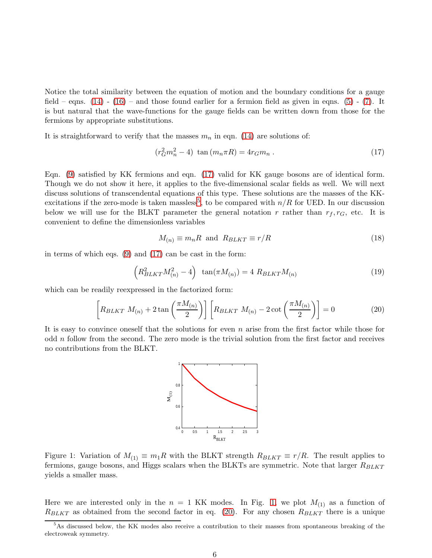Notice the total similarity between the equation of motion and the boundary conditions for a gauge field – eqns.  $(14)$  -  $(16)$  – and those found earlier for a fermion field as given in eqns.  $(5)$  -  $(7)$ . It is but natural that the wave-functions for the gauge fields can be written down from those for the fermions by appropriate substitutions.

It is straightforward to verify that the masses  $m_n$  in eqn. [\(14\)](#page-4-1) are solutions of:

<span id="page-5-0"></span>
$$
(r_G^2 m_n^2 - 4) \tan(m_n \pi R) = 4r_G m_n . \qquad (17)
$$

Eqn. [\(9\)](#page-3-4) satisfied by KK fermions and eqn. [\(17\)](#page-5-0) valid for KK gauge bosons are of identical form. Though we do not show it here, it applies to the five-dimensional scalar fields as well. We will next discuss solutions of transcendental equations of this type. These solutions are the masses of the KK-excitations if the zero-mode is taken massless<sup>[5](#page-5-1)</sup>, to be compared with  $n/R$  for UED. In our discussion below we will use for the BLKT parameter the general notation r rather than  $r_f, r_G$ , etc. It is convenient to define the dimensionless variables

$$
M_{(n)} \equiv m_n R \text{ and } R_{BLKT} \equiv r/R \tag{18}
$$

in terms of which eqs. [\(9\)](#page-3-4) and [\(17\)](#page-5-0) can be cast in the form:

$$
\left(R_{BLKT}^2 M_{(n)}^2 - 4\right) \tan(\pi M_{(n)}) = 4 \ R_{BLKT} M_{(n)} \tag{19}
$$

which can be readily reexpressed in the factorized form:

<span id="page-5-3"></span>
$$
\[ R_{BLKT} \ M_{(n)} + 2 \tan\left(\frac{\pi M_{(n)}}{2}\right) \] \left[ R_{BLKT} \ M_{(n)} - 2 \cot\left(\frac{\pi M_{(n)}}{2}\right) \right] = 0 \tag{20}
$$

It is easy to convince oneself that the solutions for even  $n$  arise from the first factor while those for odd  $n$  follow from the second. The zero mode is the trivial solution from the first factor and receives no contributions from the BLKT.



<span id="page-5-2"></span>Figure 1: Variation of  $M_{(1)} \equiv m_1 R$  with the BLKT strength  $R_{BLKT} \equiv r/R$ . The result applies to fermions, gauge bosons, and Higgs scalars when the BLKTs are symmetric. Note that larger  $R_{BLKT}$ yields a smaller mass.

Here we are interested only in the  $n = 1$  KK modes. In Fig. [1,](#page-5-2) we plot  $M_{(1)}$  as a function of  $R_{BLKT}$  as obtained from the second factor in eq. [\(20\)](#page-5-3). For any chosen  $R_{BLKT}$  there is a unique

<span id="page-5-1"></span><sup>5</sup>As discussed below, the KK modes also receive a contribution to their masses from spontaneous breaking of the electroweak symmetry.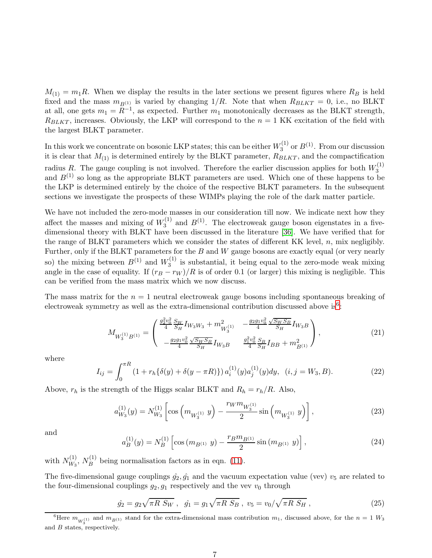$M_{(1)} = m_1 R$ . When we display the results in the later sections we present figures where  $R_B$  is held fixed and the mass  $m_{B(1)}$  is varied by changing 1/R. Note that when  $R_{BLKT} = 0$ , i.e., no BLKT at all, one gets  $m_1 = R^{-1}$ , as expected. Further  $m_1$  monotonically decreases as the BLKT strength,  $R_{BLKT}$ , increases. Obviously, the LKP will correspond to the  $n = 1$  KK excitation of the field with the largest BLKT parameter.

In this work we concentrate on bosonic LKP states; this can be either  $W_3^{(1)}$  $3^{(1)}$  or  $B^{(1)}$ . From our discussion it is clear that  $M_{(1)}$  is determined entirely by the BLKT parameter,  $R_{BLKT}$ , and the compactification radius R. The gauge coupling is not involved. Therefore the earlier discussion applies for both  $W_3^{(1)}$ 3 and  $B^{(1)}$  so long as the appropriate BLKT parameters are used. Which one of these happens to be the LKP is determined entirely by the choice of the respective BLKT parameters. In the subsequent sections we investigate the prospects of these WIMPs playing the role of the dark matter particle.

We have not included the zero-mode masses in our consideration till now. We indicate next how they affect the masses and mixing of  $W_3^{(1)}$  $3^{(1)}$  and  $B^{(1)}$ . The electroweak gauge boson eigenstates in a fivedimensional theory with BLKT have been discussed in the literature [\[36\]](#page-21-9). We have verified that for the range of BLKT parameters which we consider the states of different KK level,  $n$ , mix negligibly. Further, only if the BLKT parameters for the  $B$  and  $W$  gauge bosons are exactly equal (or very nearly so) the mixing between  $B^{(1)}$  and  $W_3^{(1)}$  $i_3^{\text{(1)}}$  is substantial, it being equal to the zero-mode weak mixing angle in the case of equality. If  $(r_B - r_W)/R$  is of order 0.1 (or larger) this mixing is negligible. This can be verified from the mass matrix which we now discuss.

The mass matrix for the  $n = 1$  neutral electroweak gauge bosons including spontaneous breaking of electroweak symmetry as well as the extra-dimensional contribution discussed above is<sup>[6](#page-6-0)</sup>:

<span id="page-6-1"></span>
$$
M_{W_3^{(1)}B^{(1)}} = \begin{pmatrix} \frac{g_2^2 v_0^2}{4} \frac{S_W}{S_H} I_{W_3 W_3} + m_{W_3^{(1)}}^2 & -\frac{g_2 g_1 v_0^2}{4} \frac{\sqrt{S_W S_B}}{S_H} I_{W_3 B} \\ -\frac{g_2 g_1 v_0^2}{4} \frac{\sqrt{S_W S_B}}{S_H} I_{W_3 B} & \frac{g_1^2 v_0^2}{4} \frac{S_B}{S_H} I_{BB} + m_{B^{(1)}}^2 \end{pmatrix},
$$
(21)

where

$$
I_{ij} = \int_0^{\pi R} (1 + r_h \{\delta(y) + \delta(y - \pi R)\}) a_i^{(1)}(y) a_j^{(1)}(y) dy, \quad (i, j = W_3, B). \tag{22}
$$

Above,  $r_h$  is the strength of the Higgs scalar BLKT and  $R_h = r_h/R$ . Also,

$$
a_{W_3}^{(1)}(y) = N_{W_3}^{(1)} \left[ \cos \left( m_{W_3^{(1)}} y \right) - \frac{r_W m_{W_3^{(1)}}}{2} \sin \left( m_{W_3^{(1)}} y \right) \right],\tag{23}
$$

and

$$
a_B^{(1)}(y) = N_B^{(1)} \left[ \cos \left( m_{B^{(1)}} \ y \right) - \frac{r_B m_{B^{(1)}}}{2} \sin \left( m_{B^{(1)}} \ y \right) \right],\tag{24}
$$

with  $N_{W_2}^{(1)}$  $\frac{(1)}{W_3}$ ,  $N_B^{(1)}$  $B_B^{(1)}$  being normalisation factors as in eqn. [\(11\)](#page-4-3).

The five-dimensional gauge couplings  $\hat{g}_2, \hat{g}_1$  and the vacuum expectation value (vev)  $v_5$  are related to the four-dimensional couplings  $g_2, g_1$  respectively and the vev  $v_0$  through

$$
\hat{g}_2 = g_2 \sqrt{\pi R S_W}, \quad \hat{g}_1 = g_1 \sqrt{\pi R S_B}, \quad v_5 = v_0 / \sqrt{\pi R S_H}, \tag{25}
$$

<span id="page-6-0"></span><sup>&</sup>lt;sup>6</sup>Here  $m_{W_3^{(1)}}$  and  $m_{B^{(1)}}$  stand for the extra-dimensional mass contribution  $m_1$ , discussed above, for the  $n = 1$   $W_3$ and  $B$  states, respectively.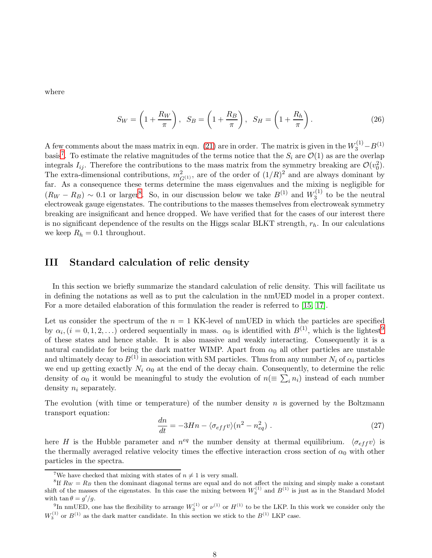where

$$
S_W = \left(1 + \frac{R_W}{\pi}\right), \quad S_B = \left(1 + \frac{R_B}{\pi}\right), \quad S_H = \left(1 + \frac{R_h}{\pi}\right). \tag{26}
$$

A few comments about the mass matrix in eqn. [\(21\)](#page-6-1) are in order. The matrix is given in the  $W_3^{(1)} - B^{(1)}$ basis<sup>[7](#page-7-0)</sup>. To estimate the relative magnitudes of the terms notice that the  $S_i$  are  $\mathcal{O}(1)$  as are the overlap integrals  $I_{ij}$ . Therefore the contributions to the mass matrix from the symmetry breaking are  $\mathcal{O}(v_0^2)$ . The extra-dimensional contributions,  $m_{G^{(1)}}^2$ , are of the order of  $(1/R)^2$  and are always dominant by far. As a consequence these terms determine the mass eigenvalues and the mixing is negligible for  $(R_W - R_B) \sim 0.1$  or larger<sup>[8](#page-7-1)</sup>. So, in our discussion below we take  $B^{(1)}$  and  $W_3^{(1)}$  $t_3^{(1)}$  to be the neutral electroweak gauge eigenstates. The contributions to the masses themselves from electroweak symmetry breaking are insignificant and hence dropped. We have verified that for the cases of our interest there is no significant dependence of the results on the Higgs scalar BLKT strength,  $r_h$ . In our calculations we keep  $R_h = 0.1$  throughout.

### III Standard calculation of relic density

In this section we briefly summarize the standard calculation of relic density. This will facilitate us in defining the notations as well as to put the calculation in the nmUED model in a proper context. For a more detailed elaboration of this formulation the reader is referred to [\[15,](#page-20-12) [17\]](#page-20-14).

Let us consider the spectrum of the  $n = 1$  KK-level of nmUED in which the particles are specified by  $\alpha_i$ ,  $(i = 0, 1, 2, ...)$  ordered sequentially in mass.  $\alpha_0$  is identified with  $B^{(1)}$ , which is the lightest<sup>[9](#page-7-2)</sup> of these states and hence stable. It is also massive and weakly interacting. Consequently it is a natural candidate for being the dark matter WIMP. Apart from  $\alpha_0$  all other particles are unstable and ultimately decay to  $B^{(1)}$  in association with SM particles. Thus from any number  $N_i$  of  $\alpha_i$  particles we end up getting exactly  $N_i \alpha_0$  at the end of the decay chain. Consequently, to determine the relic density of  $\alpha_0$  it would be meaningful to study the evolution of  $n(\equiv \sum_i n_i)$  instead of each number density  $n_i$  separately.

The evolution (with time or temperature) of the number density  $n$  is governed by the Boltzmann transport equation:

<span id="page-7-3"></span>
$$
\frac{dn}{dt} = -3Hn - \langle \sigma_{eff} v \rangle (n^2 - n_{eq}^2) \tag{27}
$$

here H is the Hubble parameter and  $n^{eq}$  the number density at thermal equilibrium.  $\langle \sigma_{eff} v \rangle$  is the thermally averaged relative velocity times the effective interaction cross section of  $\alpha_0$  with other particles in the spectra.

<span id="page-7-0"></span><sup>&</sup>lt;sup>7</sup>We have checked that mixing with states of  $n \neq 1$  is very small.

<span id="page-7-1"></span><sup>&</sup>lt;sup>8</sup>If  $R_W = R_B$  then the dominant diagonal terms are equal and do not affect the mixing and simply make a constant shift of the masses of the eigenstates. In this case the mixing between  $W_3^{(1)}$  and  $B^{(1)}$  is just as in the Standard Model with  $\tan \theta = g'/g$ .

<span id="page-7-2"></span><sup>&</sup>lt;sup>9</sup>In nmUED, one has the flexibility to arrange  $W_3^{(1)}$  or  $W_1^{(1)}$  to be the LKP. In this work we consider only the  $W_3^{(1)}$  or  $B^{(1)}$  as the dark matter candidate. In this section we stick to the  $B^{(1)}$  LKP case.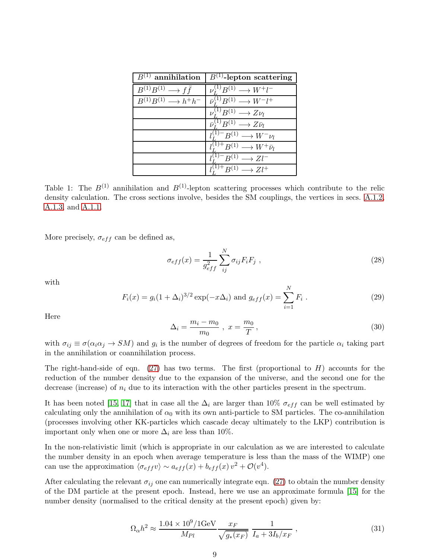| $B^{(1)}$ annihilation                    | $B^{(1)}$ -lepton scattering                              |
|-------------------------------------------|-----------------------------------------------------------|
| $B^{(1)}B^{(1)} \longrightarrow f\bar{f}$ | $\nu^{(1)}_r B^{(1)} \longrightarrow W^+ l^-$             |
| $B^{(1)}B^{(1)} \longrightarrow h^+h^-$   | $\bar{\nu}_I^{(1)} B^{(1)} \longrightarrow W^- l^+$       |
|                                           | $\nu^{(1)}_r B^{(1)} \longrightarrow Z \nu_l$             |
|                                           | $\bar{\nu}_r^{(1)} B^{(1)} \longrightarrow Z \bar{\nu}_l$ |
|                                           | $l_r^{(1)-}B^{(1)} \longrightarrow W^- \nu_l$             |
|                                           | $l_r^{(1)+}B^{(1)} \longrightarrow W^+ \bar{\nu}_l$       |
|                                           | $l_{\tau}^{(1)-}B^{(1)}\longrightarrow Zl^{-}$            |
|                                           | $l^{(1)+}_{\tau}B^{(1)}\longrightarrow Zl^{+}$            |

<span id="page-8-0"></span>Table 1: The  $B^{(1)}$  annihilation and  $B^{(1)}$ -lepton scattering processes which contribute to the relic density calculation. The cross sections involve, besides the SM couplings, the vertices in secs. [A.1.2,](#page-18-0) [A.1.3,](#page-18-1) and [A.1.1.](#page-17-0)

More precisely,  $\sigma_{eff}$  can be defined as,

$$
\sigma_{eff}(x) = \frac{1}{g_{eff}^2} \sum_{ij}^{N} \sigma_{ij} F_i F_j \tag{28}
$$

with

$$
F_i(x) = g_i(1 + \Delta_i)^{3/2} \exp(-x\Delta_i) \text{ and } g_{eff}(x) = \sum_{i=1}^{N} F_i.
$$
 (29)

Here

$$
\Delta_i = \frac{m_i - m_0}{m_0} \ , \ x = \frac{m_0}{T} \,, \tag{30}
$$

with  $\sigma_{ij} \equiv \sigma(\alpha_i \alpha_j \to SM)$  and  $g_i$  is the number of degrees of freedom for the particle  $\alpha_i$  taking part in the annihilation or coannihilation process.

The right-hand-side of eqn. [\(27\)](#page-7-3) has two terms. The first (proportional to  $H$ ) accounts for the reduction of the number density due to the expansion of the universe, and the second one for the decrease (increase) of  $n_i$  due to its interaction with the other particles present in the spectrum.

It has been noted [\[15,](#page-20-12) [17\]](#page-20-14) that in case all the  $\Delta_i$  are larger than 10%  $\sigma_{eff}$  can be well estimated by calculating only the annihilation of  $\alpha_0$  with its own anti-particle to SM particles. The co-annihilation (processes involving other KK-particles which cascade decay ultimately to the LKP) contribution is important only when one or more  $\Delta_i$  are less than 10%.

In the non-relativistic limit (which is appropriate in our calculation as we are interested to calculate the number density in an epoch when average temperature is less than the mass of the WIMP) one can use the approximation  $\langle \sigma_{eff} v \rangle \sim a_{eff}(x) + b_{eff}(x) v^2 + \mathcal{O}(v^4)$ .

After calculating the relevant  $\sigma_{ij}$  one can numerically integrate eqn. [\(27\)](#page-7-3) to obtain the number density of the DM particle at the present epoch. Instead, here we use an approximate formula [\[15\]](#page-20-12) for the number density (normalised to the critical density at the present epoch) given by:

<span id="page-8-1"></span>
$$
\Omega_{\alpha}h^2 \approx \frac{1.04 \times 10^9 / 1 \text{GeV}}{M_{Pl}} \frac{x_F}{\sqrt{g_*(x_F)}} \frac{1}{I_a + 3I_b / x_F} ,\qquad (31)
$$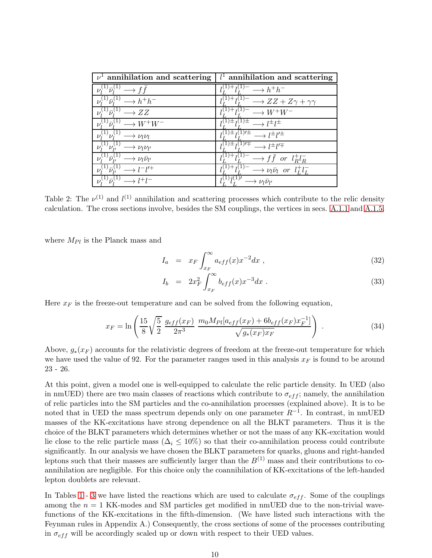| $\nu^{\perp}$ annihilation and scattering              | $l1$ annihilation and scattering                                                 |
|--------------------------------------------------------|----------------------------------------------------------------------------------|
| $\rightarrow$ f f                                      | $l_I^{(1)-} \longrightarrow h^+h^-$                                              |
| $h^{(1)}\overline{\nu}_i^{(1)} \longrightarrow h^+h^-$ | $ZZ + Z\gamma + \gamma\gamma$                                                    |
| $^{1)}\bar{\nu}^{(1)}$<br>$\rightarrow ZZ$             | $L^{1)+}L^{(1)-} \longrightarrow W^+W^-$                                         |
| $L^{(1)}\bar{\nu}^{(1)} \longrightarrow W^+W^-$        | $\longrightarrow l^{\pm}l^{\pm}$                                                 |
| $\rightarrow \nu_l \nu_l$                              | $\lambda^{(1)\pm}$ $l^{(1)\prime\pm}$ $\longrightarrow$ $l^{\pm}l^{\prime\pm}$   |
| $\rightarrow$ $\nu_l \nu_{l'}$                         | $\overline{L^{1)}\pm I^{(1) \prime \mp}} \longrightarrow l^{\pm} l^{\prime \mp}$ |
| $\rightarrow \nu_l \bar{\nu}_{l'}$                     | $J^+l_I^{(1)} \longrightarrow f\bar{f}$ or $l_R^+l_R^-$                          |
| $^{1)}\bar{\nu}_{v}^{(1)}$<br>$1 - 11 +$               | $l^{(1)}$ + $l^{(1)}$ -<br>$\longrightarrow \nu_l \bar{\nu}_l$ or $l^+_L l^-_L$  |
|                                                        | $\nu_l \nu_{l'}$                                                                 |

Table 2: The  $\nu^{(1)}$  and  $l^{(1)}$  annihilation and scattering processes which contribute to the relic density calculation. The cross sections involve, besides the SM couplings, the vertices in secs. [A.1.1](#page-17-0) and [A.1.5.](#page-19-2)

where  $M_{Pl}$  is the Planck mass and

$$
I_a = x_F \int_{x_F}^{\infty} a_{eff}(x) x^{-2} dx , \qquad (32)
$$

$$
I_b = 2x_F^2 \int_{x_F}^{\infty} b_{eff}(x) x^{-3} dx . \tag{33}
$$

Here  $x_F$  is the freeze-out temperature and can be solved from the following equation,

$$
x_F = \ln\left(\frac{15}{8}\sqrt{\frac{5}{2}}\frac{g_{eff}(x_F)}{2\pi^3}\frac{m_0M_{Pl}[a_{eff}(x_F) + 6b_{eff}(x_F)x_F^{-1}]}{\sqrt{g_*(x_F)x_F}}\right) \tag{34}
$$

Above,  $g_*(x_F)$  accounts for the relativistic degrees of freedom at the freeze-out temperature for which we have used the value of 92. For the parameter ranges used in this analysis  $x_F$  is found to be around 23 - 26.

At this point, given a model one is well-equipped to calculate the relic particle density. In UED (also in nmUED) there are two main classes of reactions which contribute to  $\sigma_{eff}$ ; namely, the annihilation of relic particles into the SM particles and the co-annihilation processes (explained above). It is to be noted that in UED the mass spectrum depends only on one parameter  $R^{-1}$ . In contrast, in nmUED masses of the KK-excitations have strong dependence on all the BLKT parameters. Thus it is the choice of the BLKT parameters which determines whether or not the mass of any KK-excitation would lie close to the relic particle mass ( $\Delta_i \leq 10\%$ ) so that their co-annihilation process could contribute significantly. In our analysis we have chosen the BLKT parameters for quarks, gluons and right-handed leptons such that their masses are sufficiently larger than the  $B^{(1)}$  mass and their contributions to coannihilation are negligible. For this choice only the coannihilation of KK-excitations of the left-handed lepton doublets are relevant.

In Tables [1](#page-8-0)- [3](#page-10-0) we have listed the reactions which are used to calculate  $\sigma_{eff}$ . Some of the couplings among the  $n = 1$  KK-modes and SM particles get modified in nmUED due to the non-trivial wavefunctions of the KK-excitations in the fifth-dimension. (We have listed such interactions with the Feynman rules in Appendix A.) Consequently, the cross sections of some of the processes contributing in  $\sigma_{eff}$  will be accordingly scaled up or down with respect to their UED values.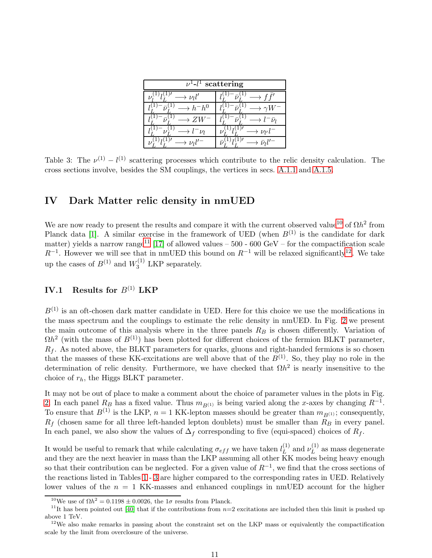| scattering<br>$-1$     |                            |  |  |  |  |
|------------------------|----------------------------|--|--|--|--|
| $\rightarrow \nu_l l'$ | $f$ ,                      |  |  |  |  |
| $\rightarrow h^-h^0$   |                            |  |  |  |  |
|                        | $\bar{\nu}_{l}$            |  |  |  |  |
| $l^-\nu_l$             | $\rightarrow \nu_{l'} l^-$ |  |  |  |  |
| $\nu_1$                |                            |  |  |  |  |

<span id="page-10-0"></span>Table 3: The  $\nu^{(1)} - l^{(1)}$  scattering processes which contribute to the relic density calculation. The cross sections involve, besides the SM couplings, the vertices in secs. [A.1.1](#page-17-0) and [A.1.5.](#page-19-2)

## IV Dark Matter relic density in nmUED

We are now ready to present the results and compare it with the current observed value<sup>[10](#page-10-1)</sup> of  $\Omega h^2$  from Planck data [\[1\]](#page-19-0). A similar exercise in the framework of UED (when  $B^{(1)}$  is the candidate for dark matter) yields a narrow range<sup>[11](#page-10-2)</sup> [\[17\]](#page-20-14) of allowed values – 500 - 600 GeV – for the compactification scale  $R^{-1}$ . However we will see that in nmUED this bound on  $R^{-1}$  will be relaxed significantly<sup>[12](#page-10-3)</sup>. We take up the cases of  $B^{(1)}$  and  $W_3^{(1)}$  LKP separately.

### IV.1 Results for  $B^{(1)}$  LKP

 $B^{(1)}$  is an oft-chosen dark matter candidate in UED. Here for this choice we use the modifications in the mass spectrum and the couplings to estimate the relic density in nmUED. In Fig. [2](#page-11-0) we present the main outcome of this analysis where in the three panels  $R_B$  is chosen differently. Variation of  $\Omega h^2$  (with the mass of  $B^{(1)}$ ) has been plotted for different choices of the fermion BLKT parameter,  $R_f$ . As noted above, the BLKT parameters for quarks, gluons and right-handed fermions is so chosen that the masses of these KK-excitations are well above that of the  $B^{(1)}$ . So, they play no role in the determination of relic density. Furthermore, we have checked that  $\Omega h^2$  is nearly insensitive to the choice of  $r_h$ , the Higgs BLKT parameter.

It may not be out of place to make a comment about the choice of parameter values in the plots in Fig. [2.](#page-11-0) In each panel  $R_B$  has a fixed value. Thus  $m_{B(1)}$  is being varied along the x-axes by changing  $R^{-1}$ . To ensure that  $B^{(1)}$  is the LKP,  $n = 1$  KK-lepton masses should be greater than  $m_{B^{(1)}}$ ; consequently,  $R_f$  (chosen same for all three left-handed lepton doublets) must be smaller than  $\overline{R}_B$  in every panel. In each panel, we also show the values of  $\Delta_f$  corresponding to five (equi-spaced) choices of  $R_f$ .

It would be useful to remark that while calculating  $\sigma_{eff}$  we have taken  $l_L^{(1)}$  $_{L}^{(1)}$  and  $\nu_{L}^{(1)}$  $L^{(1)}$  as mass degenerate and they are the next heavier in mass than the LKP assuming all other KK modes being heavy enough so that their contribution can be neglected. For a given value of  $R^{-1}$ , we find that the cross sections of the reactions listed in Tables [1](#page-8-0)- [3](#page-10-0) are higher compared to the corresponding rates in UED. Relatively lower values of the  $n = 1$  KK-masses and enhanced couplings in nmUED account for the higher

<span id="page-10-1"></span><sup>&</sup>lt;sup>10</sup>We use of  $\Omega h^2 = 0.1198 \pm 0.0026$ , the  $1\sigma$  results from Planck.

<span id="page-10-2"></span><sup>&</sup>lt;sup>11</sup>It has been pointed out [\[40\]](#page-22-2) that if the contributions from  $n=2$  excitations are included then this limit is pushed up above 1 TeV.

<span id="page-10-3"></span> $12$ We also make remarks in passing about the constraint set on the LKP mass or equivalently the compactification scale by the limit from overclosure of the universe.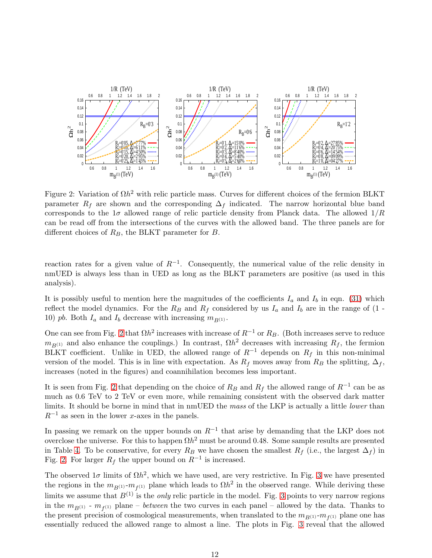

<span id="page-11-0"></span>Figure 2: Variation of  $\Omega h^2$  with relic particle mass. Curves for different choices of the fermion BLKT parameter  $R_f$  are shown and the corresponding  $\Delta_f$  indicated. The narrow horizontal blue band corresponds to the  $1\sigma$  allowed range of relic particle density from Planck data. The allowed  $1/R$ can be read off from the intersections of the curves with the allowed band. The three panels are for different choices of  $R_B$ , the BLKT parameter for  $B$ .

reaction rates for a given value of  $R^{-1}$ . Consequently, the numerical value of the relic density in nmUED is always less than in UED as long as the BLKT parameters are positive (as used in this analysis).

It is possibly useful to mention here the magnitudes of the coefficients  $I_a$  and  $I_b$  in eqn. [\(31\)](#page-8-1) which reflect the model dynamics. For the  $R_B$  and  $R_f$  considered by us  $I_a$  and  $I_b$  are in the range of (1 -10) pb. Both  $I_a$  and  $I_b$  decrease with increasing  $m_{B(1)}$ .

One can see from Fig. [2](#page-11-0) that  $\Omega h^2$  increases with increase of  $R^{-1}$  or  $R_B$ . (Both increases serve to reduce  $m_{B^{(1)}}$  and also enhance the couplings.) In contrast,  $\Omega h^2$  decreases with increasing  $R_f$ , the fermion BLKT coefficient. Unlike in UED, the allowed range of  $R^{-1}$  depends on  $R_f$  in this non-minimal version of the model. This is in line with expectation. As  $R_f$  moves away from  $R_B$  the splitting,  $\Delta_f$ , increases (noted in the figures) and coannihilation becomes less important.

It is seen from Fig. [2](#page-11-0) that depending on the choice of  $R_B$  and  $R_f$  the allowed range of  $R^{-1}$  can be as much as 0.6 TeV to 2 TeV or even more, while remaining consistent with the observed dark matter limits. It should be borne in mind that in nmUED the mass of the LKP is actually a little lower than  $R^{-1}$  as seen in the lower x-axes in the panels.

In passing we remark on the upper bounds on  $R^{-1}$  that arise by demanding that the LKP does not overclose the universe. For this to happen  $\Omega h^2$  must be around 0.48. Some sample results are presented in Table [4.](#page-12-0) To be conservative, for every R<sub>B</sub> we have chosen the smallest  $R_f$  (i.e., the largest  $\Delta_f$ ) in Fig. [2.](#page-11-0) For larger  $R_f$  the upper bound on  $R^{-1}$  is increased.

The observed  $1\sigma$  limits of  $\Omega h^2$ , which we have used, are very restrictive. In Fig. [3](#page-12-1) we have presented the regions in the  $m_{B^{(1)}}$ - $m_{f^{(1)}}$  plane which leads to  $\Omega h^2$  in the observed range. While deriving these limits we assume that  $B^{(1)}$  is the *only* relic particle in the model. Fig. [3](#page-12-1) points to very narrow regions in the  $m_{B^{(1)}}$  -  $m_{f^{(1)}}$  plane – *between* the two curves in each panel – allowed by the data. Thanks to the present precision of cosmological measurements, when translated to the  $m_{B^{(1)}}$ - $m_{f^{(1)}}$  plane one has essentially reduced the allowed range to almost a line. The plots in Fig. [3](#page-12-1) reveal that the allowed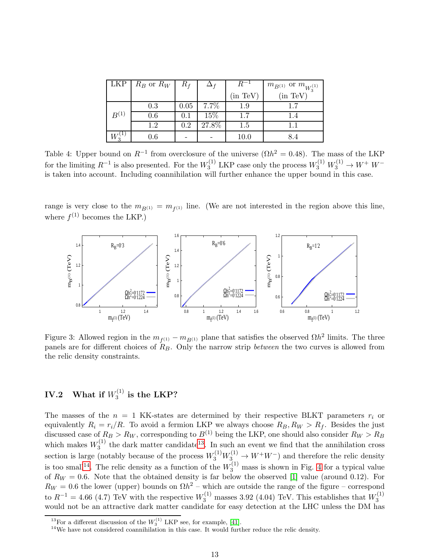| <b>LKP</b> | $R_B$ or $R_W$ | $R_f$   |       |               | $m_{B^{(1)}}$ or $m_{W_3^{(1)}}$ |
|------------|----------------|---------|-------|---------------|----------------------------------|
|            |                |         |       | $(in \; TeV)$ | (in TeV)                         |
|            | 0.3            | 0.05    | 7.7%  | $1.9\,$       | 17                               |
| $B^{(1)}$  | 0.6            | $0.1\,$ | 15%   | $1.7\,$       | 1.4                              |
|            | 1.2            | $0.2\,$ | 27.8% | $1.5\,$       |                                  |
|            | $_{0.6}$       |         |       | 10.0          | 8.4                              |

<span id="page-12-0"></span>Table 4: Upper bound on  $R^{-1}$  from overclosure of the universe ( $\Omega h^2 = 0.48$ ). The mass of the LKP for the limiting  $R^{-1}$  is also presented. For the  $W_3^{(1)}$  LKP case only the process  $W_3^{(1)} W_3^{(1)} \to W^+ W^$ is taken into account. Including coannihilation will further enhance the upper bound in this case.

range is very close to the  $m_{B^{(1)}} = m_{f^{(1)}}$  line. (We are not interested in the region above this line, where  $f^{(1)}$  becomes the LKP.)



<span id="page-12-1"></span>Figure 3: Allowed region in the  $m_{f^{(1)}} - m_{B^{(1)}}$  plane that satisfies the observed  $\Omega h^2$  limits. The three panels are for different choices of  $R_B$ . Only the narrow strip *between* the two curves is allowed from the relic density constraints.

#### $\mathbf{IV.2} \quad \textbf{What if} \; W_{3}^{(1)}$  $i_3^{(1)}$  is the LKP?

The masses of the  $n = 1$  KK-states are determined by their respective BLKT parameters  $r_i$  or equivalently  $R_i = r_i/R$ . To avoid a fermion LKP we always choose  $R_B, R_W > R_f$ . Besides the just discussed case of  $R_B > R_W$ , corresponding to  $B^{(1)}$  being the LKP, one should also consider  $R_W > R_B$ which makes  $W_3^{(1)}$  the dark matter candidate<sup>[13](#page-12-2)</sup>. In such an event we find that the annihilation cross 3 section is large (notably because of the process  $W_3^{(1)}W_3^{(1)} \to W^+W^-$ ) and therefore the relic density is too small<sup>[14](#page-12-3)</sup>. The relic density as a function of the  $W_3^{(1)}$  mass is shown in Fig. [4](#page-13-0) for a typical value of  $R_W = 0.6$ . Note that the obtained density is far below the observed [\[1\]](#page-19-0) value (around 0.12). For  $R_W = 0.6$  the lower (upper) bounds on  $\Omega h^2$  – which are outside the range of the figure – correspond to  $R^{-1} = 4.66$  (4.7) TeV with the respective  $W_3^{(1)}$  masses 3.92 (4.04) TeV. This establishes that  $W_3^{(1)}$ 3 would not be an attractive dark matter candidate for easy detection at the LHC unless the DM has

<sup>&</sup>lt;sup>13</sup>For a different discussion of the  $W_3^{(1)}$  LKP see, for example, [\[41\]](#page-22-3).

<span id="page-12-3"></span><span id="page-12-2"></span><sup>&</sup>lt;sup>14</sup>We have not considered coannihilation in this case. It would further reduce the relic density.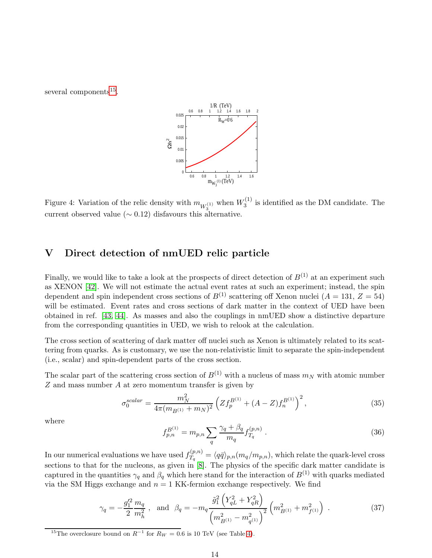several components<sup>[15](#page-13-1)</sup>.



<span id="page-13-0"></span>Figure 4: Variation of the relic density with  $m_{W_3^{(1)}}$  when  $W_3^{(1)}$  $i_3^{(1)}$  is identified as the DM candidate. The current observed value ( $\sim$  0.12) disfavours this alternative.

# V Direct detection of nmUED relic particle

Finally, we would like to take a look at the prospects of direct detection of  $B^{(1)}$  at an experiment such as XENON [\[42\]](#page-22-4). We will not estimate the actual event rates at such an experiment; instead, the spin dependent and spin independent cross sections of  $B^{(1)}$  scattering off Xenon nuclei (A = 131, Z = 54) will be estimated. Event rates and cross sections of dark matter in the context of UED have been obtained in ref. [\[43,](#page-22-5) [44\]](#page-22-6). As masses and also the couplings in nmUED show a distinctive departure from the corresponding quantities in UED, we wish to relook at the calculation.

The cross section of scattering of dark matter off nuclei such as Xenon is ultimately related to its scattering from quarks. As is customary, we use the non-relativistic limit to separate the spin-independent (i.e., scalar) and spin-dependent parts of the cross section.

The scalar part of the scattering cross section of  $B^{(1)}$  with a nucleus of mass  $m_N$  with atomic number Z and mass number A at zero momentum transfer is given by

<span id="page-13-2"></span>
$$
\sigma_0^{scalar} = \frac{m_N^2}{4\pi (m_{B^{(1)}} + m_N)^2} \left( Z f_p^{B^{(1)}} + (A - Z) f_n^{B^{(1)}} \right)^2, \tag{35}
$$

where

$$
f_{p,n}^{B^{(1)}} = m_{p,n} \sum_{q} \frac{\gamma_q + \beta_q}{m_q} f_{T_q}^{(p,n)} \,. \tag{36}
$$

In our numerical evaluations we have used  $f_{T_a}^{(p,n)}$  $T_q^{(p,n)} = \langle q\bar{q}\rangle_{p,n}(m_q/m_{p,n}),$  which relate the quark-level cross sections to that for the nucleons, as given in [\[8\]](#page-20-5). The physics of the specific dark matter candidate is captured in the quantities  $\gamma_q$  and  $\beta_q$  which here stand for the interaction of  $B^{(1)}$  with quarks mediated via the SM Higgs exchange and  $n = 1$  KK-fermion exchange respectively. We find

$$
\gamma_q = -\frac{g_1'^2}{2} \frac{m_q}{m_h^2} \ , \text{ and } \beta_q = -m_q \frac{\tilde{g}_1^2 \left( Y_{qL}^2 + Y_{qR}^2 \right)}{\left( m_{B^{(1)}}^2 - m_{q^{(1)}}^2 \right)^2} \left( m_{B^{(1)}}^2 + m_{f^{(1)}}^2 \right) \ . \tag{37}
$$

<span id="page-13-1"></span><sup>15</sup>The overclosure bound on  $R^{-1}$  for  $R_W = 0.6$  is 10 TeV (see Table [4\)](#page-12-0).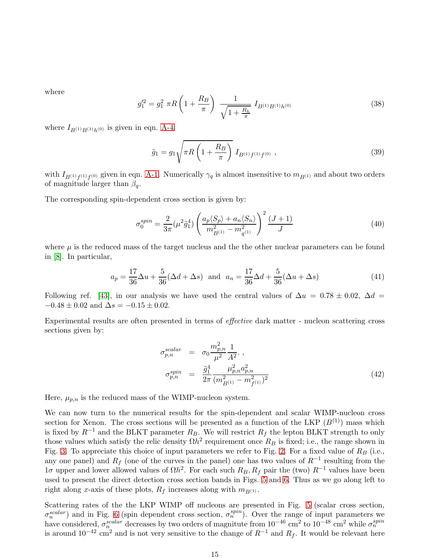where

$$
g_1^{\prime 2} = g_1^2 \pi R \left( 1 + \frac{R_B}{\pi} \right) \frac{1}{\sqrt{1 + \frac{R_h}{\pi}}} I_{B^{(1)}B^{(1)}h^{(0)}} \tag{38}
$$

where  $I_{B(1)B(1)h(0)}$  is given in eqn. [A-4.](#page-19-3)

$$
\tilde{g}_1 = g_1 \sqrt{\pi R \left( 1 + \frac{R_B}{\pi} \right)} I_{B^{(1)}f^{(1)}f^{(0)}} ,\qquad (39)
$$

with  $I_{B^{(1)}f^{(1)}f^{(0)}}$  given in eqn. [A-1.](#page-19-4) Numerically  $\gamma_q$  is almost insensitive to  $m_{B^{(1)}}$  and about two orders of magnitude larger than  $\beta_q$ .

The corresponding spin-dependent cross section is given by:

$$
\sigma_0^{spin} = \frac{2}{3\pi} (\mu^2 \tilde{g}_1^4) \left( \frac{a_p \langle S_p \rangle + a_n \langle S_n \rangle}{m_{B^{(1)}}^2 - m_{q^{(1)}}^2} \right)^2 \frac{(J+1)}{J} \tag{40}
$$

where  $\mu$  is the reduced mass of the target nucleus and the the other nuclear parameters can be found in [\[8\]](#page-20-5). In particular,

$$
a_p = \frac{17}{36}\Delta u + \frac{5}{36}(\Delta d + \Delta s) \text{ and } a_n = \frac{17}{36}\Delta d + \frac{5}{36}(\Delta u + \Delta s)
$$
 (41)

Following ref. [\[43\]](#page-22-5), in our analysis we have used the central values of  $\Delta u = 0.78 \pm 0.02$ ,  $\Delta d =$  $-0.48 \pm 0.02$  and  $\Delta s = -0.15 \pm 0.02$ .

Experimental results are often presented in terms of effective dark matter - nucleon scattering cross sections given by:

<span id="page-14-0"></span>
$$
\sigma_{p,n}^{scalar} = \sigma_0 \frac{m_{p,n}^2}{\mu^2} \frac{1}{A^2}, \n\sigma_{p,n}^{spin} = \frac{\tilde{g}_1^4}{2\pi} \frac{\mu_{p,n}^2 a_{p,n}^2}{(m_{B^{(1)}}^2 - m_{f^{(1)}}^2)^2}
$$
\n(42)

Here,  $\mu_{p,n}$  is the reduced mass of the WIMP-nucleon system.

We can now turn to the numerical results for the spin-dependent and scalar WIMP-nucleon cross section for Xenon. The cross sections will be presented as a function of the LKP  $(B^{(1)})$  mass which is fixed by  $R^{-1}$  and the BLKT parameter  $R_B$ . We will restrict  $R_f$  the lepton BLKT strength to only those values which satisfy the relic density  $\Omega h^2$  requirement once  $R_B$  is fixed; i.e., the range shown in Fig. [3.](#page-12-1) To appreciate this choice of input parameters we refer to Fig. [2.](#page-11-0) For a fixed value of  $R_B$  (i.e., any one panel) and  $R_f$  (one of the curves in the panel) one has two values of  $R^{-1}$  resulting from the  $1\sigma$  upper and lower allowed values of  $\Omega h^2$ . For each such  $R_B$ ,  $R_f$  pair the (two)  $R^{-1}$  values have been used to present the direct detection cross section bands in Figs. [5](#page-15-0) and [6.](#page-15-1) Thus as we go along left to right along x-axis of these plots,  $R_f$  increases along with  $m_{B(1)}$ .

Scattering rates of the the LKP WIMP off nucleons are presented in Fig. [5](#page-15-0) (scalar cross section,  $\sigma_n^{scalar}$ ) and in Fig. [6](#page-15-1) (spin dependent cross section,  $\sigma_n^{spin}$ ). Over the range of input parameters we have considered,  $\sigma_n^{scalar}$  decreases by two orders of magnitute from  $10^{-46}$  cm<sup>2</sup> to  $10^{-48}$  cm<sup>2</sup> while  $\sigma_n^{spin}$ is around  $10^{-42}$  cm<sup>2</sup> and is not very sensitive to the change of  $R^{-1}$  and  $R_f$ . It would be relevant here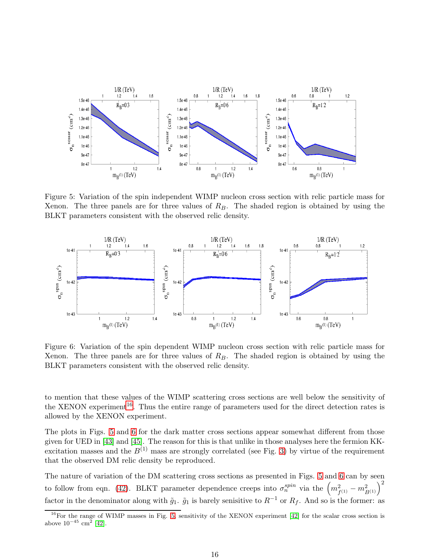

<span id="page-15-0"></span>Figure 5: Variation of the spin independent WIMP nucleon cross section with relic particle mass for Xenon. The three panels are for three values of  $R_B$ . The shaded region is obtained by using the BLKT parameters consistent with the observed relic density.



<span id="page-15-1"></span>Figure 6: Variation of the spin dependent WIMP nucleon cross section with relic particle mass for Xenon. The three panels are for three values of  $R_B$ . The shaded region is obtained by using the BLKT parameters consistent with the observed relic density.

to mention that these values of the WIMP scattering cross sections are well below the sensitivity of the XENON experiment<sup>[16](#page-15-2)</sup>. Thus the entire range of parameters used for the direct detection rates is allowed by the XENON experiment.

The plots in Figs. [5](#page-15-0) and [6](#page-15-1) for the dark matter cross sections appear somewhat different from those given for UED in [\[43\]](#page-22-5) and [\[45\]](#page-22-7). The reason for this is that unlike in those analyses here the fermion KKexcitation masses and the  $B^{(1)}$  mass are strongly correlated (see Fig. [3\)](#page-12-1) by virtue of the requirement that the observed DM relic density be reproduced.

The nature of variation of the DM scattering cross sections as presented in Figs. [5](#page-15-0) and [6](#page-15-1) can by seen to follow from eqn. [\(42\)](#page-14-0). BLKT parameter dependence creeps into  $\sigma_n^{spin}$  via the  $\left(m_{f^{(1)}}^2 - m_{B^{(1)}}^2\right)^2$ factor in the denominator along with  $\tilde{g}_1$ .  $\tilde{g}_1$  is barely senisitive to  $R^{-1}$  or  $R_f$ . And so is the former: as

<span id="page-15-2"></span> $^{16}$ For the range of WIMP masses in Fig. [5,](#page-15-0) sensitivity of the XENON experiment [\[42\]](#page-22-4) for the scalar cross section is above  $10^{-45}$  cm<sup>2</sup> [\[42\]](#page-22-4).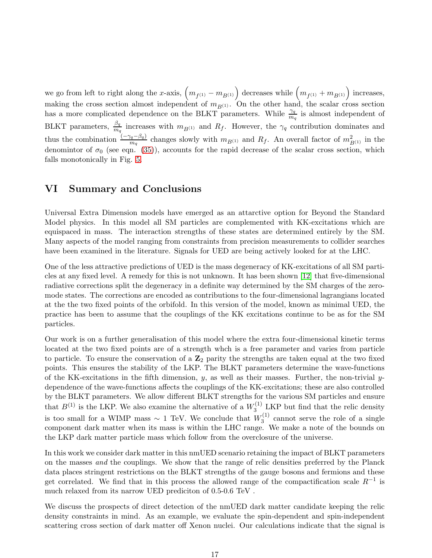we go from left to right along the x-axis,  $\left(m_{f^{(1)}} - m_{B^{(1)}}\right)$  decreases while  $\left(m_{f^{(1)}} + m_{B^{(1)}}\right)$  increases, making the cross section almost independent of  $m_{B(1)}$ . On the other hand, the scalar cross section has a more complicated dependence on the BLKT parameters. While  $\frac{\gamma_q}{m_q}$  is almost independent of BLKT parameters,  $\frac{\beta_q}{m_q}$  increases with  $m_{B^{(1)}}$  and  $R_f$ . However, the  $\gamma_q$  contribution dominates and thus the combination  $\frac{(-\gamma_q - \beta_q)}{m_q}$  changes slowly with  $m_{B(1)}$  and  $R_f$ . An overall factor of  $m_{B(1)}^2$  in the denomintor of  $\sigma_0$  (see eqn. [\(35\)](#page-13-2)), accounts for the rapid decrease of the scalar cross section, which falls monotonically in Fig. [5.](#page-15-0)

## VI Summary and Conclusions

Universal Extra Dimension models have emerged as an attarctive option for Beyond the Standard Model physics. In this model all SM particles are complemented with KK-excitations which are equispaced in mass. The interaction strengths of these states are determined entirely by the SM. Many aspects of the model ranging from constraints from precision measurements to collider searches have been examined in the literature. Signals for UED are being actively looked for at the LHC.

One of the less attractive predictions of UED is the mass degeneracy of KK-excitations of all SM particles at any fixed level. A remedy for this is not unknown. It has been shown [\[12\]](#page-20-9) that five-dimensional radiative corrections split the degeneracy in a definite way determined by the SM charges of the zeromode states. The corrections are encoded as contributions to the four-dimensional lagrangians located at the the two fixed points of the orbifold. In this version of the model, known as minimal UED, the practice has been to assume that the couplings of the KK excitations continue to be as for the SM particles.

Our work is on a further generalisation of this model where the extra four-dimensional kinetic terms located at the two fixed points are of a strength whch is a free parameter and varies from particle to particle. To ensure the conservation of a  $\mathbb{Z}_2$  parity the strengths are taken equal at the two fixed points. This ensures the stability of the LKP. The BLKT parameters determine the wave-functions of the KK-excitations in the fifth dimension, y, as well as their masses. Further, the non-trivial ydependence of the wave-functions affects the couplings of the KK-excitations; these are also controlled by the BLKT parameters. We allow different BLKT strengths for the various SM particles and ensure that  $B^{(1)}$  is the LKP. We also examine the alternative of a  $W_3^{(1)}$  LKP but find that the relic density is too small for a WIMP mass  $\sim 1$  TeV. We conclude that  $W_3^{(1)}$  $3^{(1)}$  cannot serve the role of a single component dark matter when its mass is within the LHC range. We make a note of the bounds on the LKP dark matter particle mass which follow from the overclosure of the universe.

In this work we consider dark matter in this nmUED scenario retaining the impact of BLKT parameters on the masses and the couplings. We show that the range of relic densities preferred by the Planck data places stringent restrictions on the BLKT strengths of the gauge bosons and fermions and these get correlated. We find that in this process the allowed range of the compactification scale  $R^{-1}$  is much relaxed from its narrow UED prediciton of 0.5-0.6 TeV .

We discuss the prospects of direct detection of the nmUED dark matter candidate keeping the relic density constraints in mind. As an example, we evaluate the spin-dependent and spin-independent scattering cross section of dark matter off Xenon nuclei. Our calculations indicate that the signal is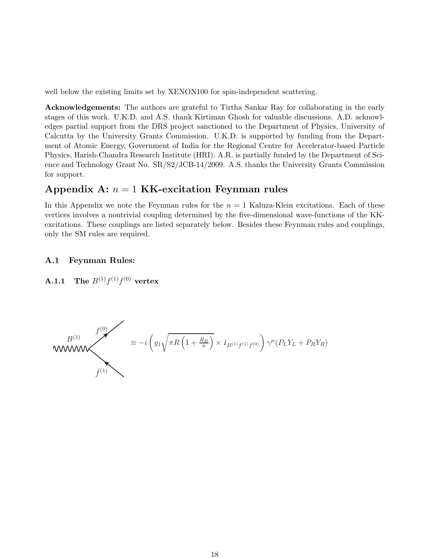well below the existing limits set by XENON100 for spin-independent scattering.

Acknowledgements: The authors are grateful to Tirtha Sankar Ray for collaborating in the early stages of this work. U.K.D. and A.S. thank Kirtiman Ghosh for valuable discussions. A.D. acknowledges partial support from the DRS project sanctioned to the Department of Physics, University of Calcutta by the University Grants Commission. U.K.D. is supported by funding from the Department of Atomic Energy, Government of India for the Regional Centre for Accelerator-based Particle Physics, Harish-Chandra Research Institute (HRI). A.R. is partially funded by the Department of Science and Technology Grant No. SR/S2/JCB-14/2009. A.S. thanks the University Grants Commission for support.

## Appendix A:  $n = 1$  KK-excitation Feynman rules

In this Appendix we note the Feynman rules for the  $n = 1$  Kaluza-Klein excitations. Each of these vertices involves a nontrivial coupling determined by the five-dimensional wave-functions of the KKexcitations. These couplings are listed separately below. Besides these Feynman rules and couplings, only the SM rules are required.

### <span id="page-17-0"></span>A.1 Feynman Rules:

**A.1.1** The  $B^{(1)}f^{(1)}f^{(0)}$  vertex

$$
B^{(1)} \sum_{\bar{f}^{(1)}} f^{(0)} = -i \left( g_1 \sqrt{\pi R \left( 1 + \frac{R_B}{\pi} \right)} \times I_{B^{(1)}f^{(1)}f^{(0)}} \right) \gamma^{\mu} (P_L Y_L + P_R Y_R)
$$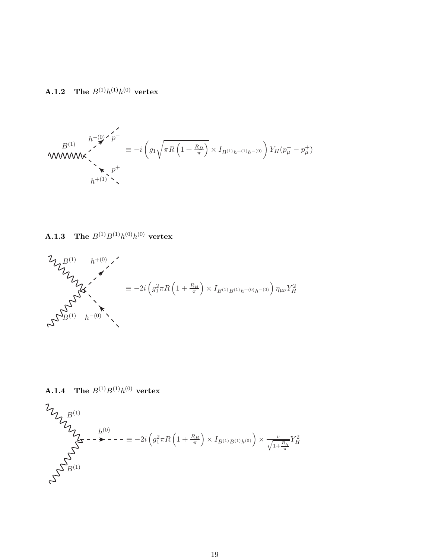<span id="page-18-0"></span>**A.1.2** The  $B^{(1)}h^{(1)}h^{(0)}$  vertex

$$
B^{(1)} \sum_{h^{+}(0) \atop h^{+}(1)}^{h^{-}(0) \atop \searrow} \sum_{p^{+}}^{p^{-}} \equiv -i \left( g_{1} \sqrt{\pi R \left( 1 + \frac{R_{B}}{\pi} \right)} \times I_{B^{(1)}h^{+}(1)h^{-}(0)} \right) Y_{H}(p^{-}_{\mu} - p^{+}_{\mu})
$$

<span id="page-18-1"></span> $\mathbf{A.1.3} \quad \mathbf{The} \,\, B^{(1)}B^{(1)}h^{(0)}h^{(0)} \,\, \textbf{vertex}$ 

$$
\mathcal{L}_{\mathcal{U}_{\mathcal{U}_{\mathcal{U}_{\mathcal{U}}}}}^{\mathcal{B}^{(1)}} \longrightarrow \mathcal{L}_{\mathcal{U}_{\mathcal{U}_{\mathcal{U}_{\mathcal{U}}}}}^{\mathcal{B}^{(1)}} \longrightarrow \mathcal{L}_{\mathcal{U}_{\mathcal{U}_{\mathcal{U}_{\mathcal{U}}}}}^{\mathcal{A}} \qquad \qquad \equiv -2i \left( g_{1}^{2} \pi R \left( 1 + \frac{R_{B}}{\pi} \right) \times I_{B^{(1)}B^{(1)}h^{+(0)}h^{-(0)}} \right) \eta_{\mu\nu} Y_{H}^{2}
$$

**A.1.4** The  $B^{(1)}B^{(1)}h^{(0)}$  vertex

$$
\begin{aligned} \mathcal{V}_{\mathcal{U}_{\mathcal{U}_{\mathcal{U}^{\mathcal{U}^{\mathcal{U}^{\mathcal{U}^{\mathcal{U}^{\mathcal{U}^{\mathcal{U}^{\mathcal{U}^{\mathcal{U}^{\mathcal{U}^{\mathcal{U}^{\mathcal{U}^{\mathcal{U}^{\mathcal{U}^{\mathcal{U}^{\mathcal{U}^{\mathcal{U}^{\mathcal{U}^{\mathcal{U}^{\mathcal{U}^{\mathcal{U}^{\mathcal{U}^{\mathcal{U}^{\mathcal{U}^{\mathcal{U}^{\mathcal{U}^{\mathcal{U}^{\mathcal{U}^{\mathcal{U}^{\mathcal{U}^{\mathcal{U}^{\mathcal{U}^{\mathcal{U}^{\mathcal{U}^{\mathcal{U}^{\mathcal{U}^{\mathcal{U}^{\mathcal{U}^{\mathcal{U}^{\mathcal{U}^{\mathcal{U}^{\mathcal{U}^{\mathcal{U}^{\mathcal{U}^{\mathcal{U}^{\mathcal{U}^{\mathcal{U}^{\mathcal{U}^{\mathcal{U}^{\mathcal{U}^{\mathcal{U}^{\mathcal{U}^{\mathcal{U}^{\mathcal{U}^{\mathcal{U}^{\mathcal{U}^{\mathcal{U}^{\mathcal{U}^{\mathcal{U}^{\mathcal{U}^{\mathcal{U}^{\mathcal{U}^{\mathcal{U}^{\mathcal{U}^{\mathcal{U}^{\mathcal{U}^{\mathcal{U}^{\mathcal{U}^{\mathcal{U}^{\mathcal{U}^{\mathcal{U}^{\mathcal{U}^{\mathcal{U}^{\mathcal{U}^{\mathcal{U}^{\mathcal{U}^{\mathcal{U}^{\mathcal{U}^{\mathcal{U}^{\mathcal{U}^{\mathcal{U}^{\mathcal{U}^{\mathcal{U}^{\mathcal{U}^{\mathcal{U}^{\mathcal{U}^{\mathcal{U}^{\mathcal{U}^{\mathcal{U}^{\mathcal{U}^{\mathcal{U}^{\mathcal{U}^{\mathcal{U}^{\mathcal{U}^{\mathcal{U}^{\mathcal{U}^{\mathcal{U}^{\mathcal{U}^{\mathcal{U}^{\mathcal{U}^{\mathcal{U}^{\mathcal{U}^{\mathcal{U}^{\mathcal{U}^{\mathcal{U}^{\math
$$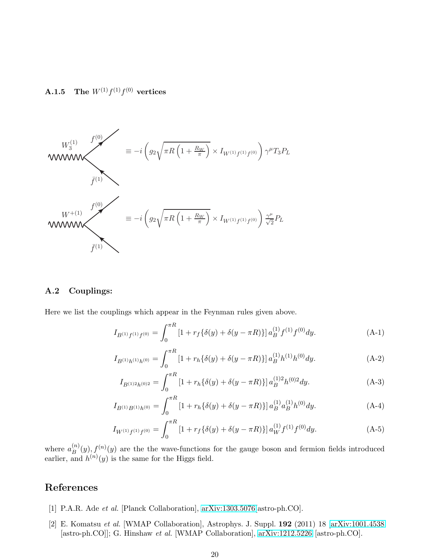<span id="page-19-2"></span> $\mathbf{A.1.5} \quad \mathbf{The} \,\, W^{(1)}f^{(1)}f^{(0)} \,\, \textbf{vertices}$ 



### A.2 Couplings:

Here we list the couplings which appear in the Feynman rules given above.

<span id="page-19-4"></span>
$$
I_{B^{(1)}f^{(1)}f^{(0)}} = \int_0^{\pi R} \left[1 + r_f \{\delta(y) + \delta(y - \pi R)\}\right] a_B^{(1)} f^{(1)} f^{(0)} dy. \tag{A-1}
$$

$$
I_{B^{(1)}h^{(1)}h^{(0)}} = \int_0^{\pi R} \left[1 + r_h \{\delta(y) + \delta(y - \pi R)\}\right] a_B^{(1)}h^{(1)}h^{(0)}dy. \tag{A-2}
$$

$$
I_{B^{(1)2}h^{(0)2}} = \int_0^{\pi R} \left[1 + r_h \{\delta(y) + \delta(y - \pi R)\}\right] a_B^{(1)2} h^{(0)2} dy. \tag{A-3}
$$

<span id="page-19-3"></span>
$$
I_{B^{(1)}B^{(1)}h^{(0)}} = \int_0^{\pi R} \left[1 + r_h \{\delta(y) + \delta(y - \pi R)\}\right] a_B^{(1)} a_B^{(1)} h^{(0)} dy. \tag{A-4}
$$

$$
I_{W^{(1)}f^{(1)}f^{(0)}} = \int_0^{\pi R} \left[1 + r_f \{\delta(y) + \delta(y - \pi R)\}\right] a_W^{(1)} f^{(1)} f^{(0)} dy. \tag{A-5}
$$

where  $a_B^{(n)}$  $B^{(n)}(y), f^{(n)}(y)$  are the the wave-functions for the gauge boson and fermion fields introduced earlier, and  $h^{(n)}(y)$  is the same for the Higgs field.

## <span id="page-19-0"></span>References

- <span id="page-19-1"></span>[1] P.A.R. Ade et al. [Planck Collaboration], [arXiv:1303.5076\[](http://arxiv.org/abs/1303.5076)astro-ph.CO].
- [2] E. Komatsu et al. [WMAP Collaboration], Astrophys. J. Suppl. 192 (2011) 18 [\[arXiv:1001.4538](http://arxiv.org/abs/1001.4538) [astro-ph.CO]]; G. Hinshaw et al. [WMAP Collaboration], [arXiv:1212.5226](http://arxiv.org/abs/1212.5226) [astro-ph.CO].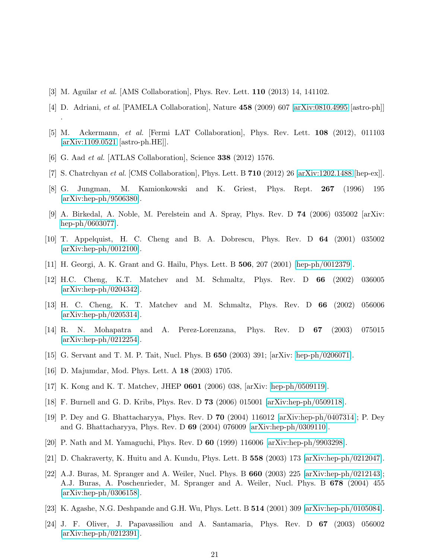- <span id="page-20-1"></span><span id="page-20-0"></span>[3] M. Aguilar et al. [AMS Collaboration], Phys. Rev. Lett. 110 (2013) 14, 141102.
- <span id="page-20-2"></span>[4] D. Adriani, et al. [PAMELA Collaboration], Nature 458 (2009) 607 [\[arXiv:0810.4995](http://arxiv.org/abs/0810.4995) [astro-ph]]
- <span id="page-20-3"></span>[5] M. Ackermann, et al. [Fermi LAT Collaboration], Phys. Rev. Lett. 108 (2012), 011103 [\[arXiv:1109.0521](http://arxiv.org/abs/1109.0521) [astro-ph.HE]].
- <span id="page-20-4"></span>[6] G. Aad et al. [ATLAS Collaboration], Science 338 (2012) 1576.

.

- <span id="page-20-5"></span>[7] S. Chatrchyan et al. [CMS Collaboration], Phys. Lett. B 710 (2012) 26 [\[arXiv:1202.1488](http://arxiv.org/abs/1202.1488) [hep-ex]].
- <span id="page-20-6"></span>[8] G. Jungman, M. Kamionkowski and K. Griest, Phys. Rept. 267 (1996) 195 [\[arXiv:hep-ph/9506380\]](http://arxiv.org/abs/hep-ph/9506380).
- <span id="page-20-7"></span>[9] A. Birkedal, A. Noble, M. Perelstein and A. Spray, Phys. Rev. D  $74$  (2006) 035002 [arXiv: [hep-ph/0603077\]](http://arxiv.org/abs/hep-ph/0603077).
- <span id="page-20-8"></span>[10] T. Appelquist, H. C. Cheng and B. A. Dobrescu, Phys. Rev. D 64 (2001) 035002 [\[arXiv:hep-ph/0012100\]](http://arxiv.org/abs/hep-ph/0012100).
- <span id="page-20-9"></span>[11] H. Georgi, A. K. Grant and G. Hailu, Phys. Lett. B 506, 207 (2001) [\[hep-ph/0012379\]](http://arxiv.org/abs/hep-ph/0012379).
- [12] H.C. Cheng, K.T. Matchev and M. Schmaltz, Phys. Rev. D 66 (2002) 036005 [\[arXiv:hep-ph/0204342\]](http://arxiv.org/abs/hep-ph/0204342).
- <span id="page-20-10"></span>[13] H. C. Cheng, K. T. Matchev and M. Schmaltz, Phys. Rev. D 66 (2002) 056006 [\[arXiv:hep-ph/0205314\]](http://arxiv.org/abs/hep-ph/0205314).
- <span id="page-20-11"></span>[14] R. N. Mohapatra and A. Perez-Lorenzana, Phys. Rev. D 67 (2003) 075015 [\[arXiv:hep-ph/0212254\]](http://arxiv.org/abs/hep-ph/0212254).
- <span id="page-20-13"></span><span id="page-20-12"></span>[15] G. Servant and T. M. P. Tait, Nucl. Phys. B 650 (2003) 391; [arXiv: [hep-ph/0206071\]](http://arxiv.org/abs/hep-ph/0206071).
- <span id="page-20-14"></span>[16] D. Majumdar, Mod. Phys. Lett. A 18 (2003) 1705.
- <span id="page-20-15"></span>[17] K. Kong and K. T. Matchev, JHEP 0601 (2006) 038, [arXiv: [hep-ph/0509119\]](http://arxiv.org/abs/hep-ph/0509119).
- <span id="page-20-16"></span>[18] F. Burnell and G. D. Kribs, Phys. Rev. D 73 (2006) 015001 [\[arXiv:hep-ph/0509118\]](http://arxiv.org/abs/hep-ph/0509118).
- [19] P. Dey and G. Bhattacharyya, Phys. Rev. D 70 (2004) 116012 [\[arXiv:hep-ph/0407314\]](http://arxiv.org/abs/hep-ph/0407314); P. Dey and G. Bhattacharyya, Phys. Rev. D 69 (2004) 076009 [\[arXiv:hep-ph/0309110\]](http://arxiv.org/abs/hep-ph/0309110).
- <span id="page-20-18"></span><span id="page-20-17"></span>[20] P. Nath and M. Yamaguchi, Phys. Rev. D 60 (1999) 116006 [\[arXiv:hep-ph/9903298\]](http://arxiv.org/abs/hep-ph/9903298).
- <span id="page-20-19"></span>[21] D. Chakraverty, K. Huitu and A. Kundu, Phys. Lett. B 558 (2003) 173 [\[arXiv:hep-ph/0212047\]](http://arxiv.org/abs/hep-ph/0212047).
- [22] A.J. Buras, M. Spranger and A. Weiler, Nucl. Phys. B 660 (2003) 225 [\[arXiv:hep-ph/0212143\]](http://arxiv.org/abs/hep-ph/0212143); A.J. Buras, A. Poschenrieder, M. Spranger and A. Weiler, Nucl. Phys. B 678 (2004) 455 [\[arXiv:hep-ph/0306158\]](http://arxiv.org/abs/hep-ph/0306158).
- <span id="page-20-21"></span><span id="page-20-20"></span>[23] K. Agashe, N.G. Deshpande and G.H. Wu, Phys. Lett. B 514 (2001) 309 [\[arXiv:hep-ph/0105084\]](http://arxiv.org/abs/hep-ph/0105084).
- [24] J. F. Oliver, J. Papavassiliou and A. Santamaria, Phys. Rev. D 67 (2003) 056002 [\[arXiv:hep-ph/0212391\]](http://arxiv.org/abs/hep-ph/0212391).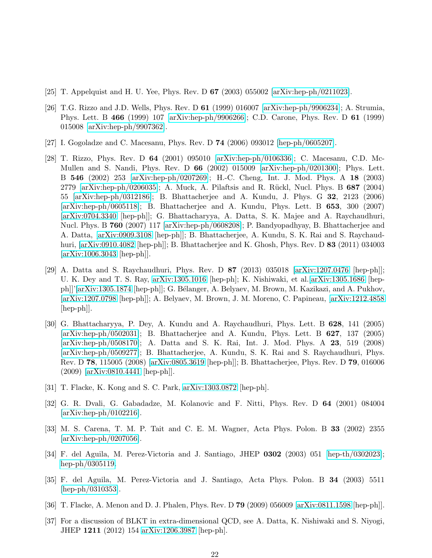- <span id="page-21-1"></span><span id="page-21-0"></span>[25] T. Appelquist and H. U. Yee, Phys. Rev. D 67 (2003) 055002 [\[arXiv:hep-ph/0211023\]](http://arxiv.org/abs/hep-ph/0211023).
- [26] T.G. Rizzo and J.D. Wells, Phys. Rev. D 61 (1999) 016007 [\[arXiv:hep-ph/9906234\]](http://arxiv.org/abs/hep-ph/9906234); A. Strumia, Phys. Lett. B 466 (1999) 107 [\[arXiv:hep-ph/9906266\]](http://arxiv.org/abs/hep-ph/9906266); C.D. Carone, Phys. Rev. D 61 (1999) 015008 [\[arXiv:hep-ph/9907362\]](http://arxiv.org/abs/hep-ph/9907362).
- <span id="page-21-3"></span><span id="page-21-2"></span>[27] I. Gogoladze and C. Macesanu, Phys. Rev. D 74 (2006) 093012 [\[hep-ph/0605207\]](http://arxiv.org/abs/hep-ph/0605207).
- [28] T. Rizzo, Phys. Rev. D 64 (2001) 095010 [\[arXiv:hep-ph/0106336\]](http://arxiv.org/abs/hep-ph/0106336); C. Macesanu, C.D. Mc-Mullen and S. Nandi, Phys. Rev. D 66 (2002) 015009 [\[arXiv:hep-ph/0201300\]](http://arxiv.org/abs/hep-ph/0201300); Phys. Lett. B 546 (2002) 253 [\[arXiv:hep-ph/0207269\]](http://arxiv.org/abs/hep-ph/0207269); H.-C. Cheng, Int. J. Mod. Phys. A 18 (2003) 2779 [\[arXiv:hep-ph/0206035\]](http://arxiv.org/abs/hep-ph/0206035); A. Muck, A. Pilaftsis and R. Rückl, Nucl. Phys. B  $687$  (2004) 55 [\[arXiv:hep-ph/0312186\]](http://arxiv.org/abs/hep-ph/0312186); B. Bhattacherjee and A. Kundu, J. Phys. G 32, 2123 (2006) [\[arXiv:hep-ph/0605118\]](http://arxiv.org/abs/hep-ph/0605118); B. Bhattacherjee and A. Kundu, Phys. Lett. B 653, 300 (2007) [\[arXiv:0704.3340](http://arxiv.org/abs/0704.3340) [hep-ph]]; G. Bhattacharyya, A. Datta, S. K. Majee and A. Raychaudhuri, Nucl. Phys. B 760 (2007) 117 [\[arXiv:hep-ph/0608208\]](http://arxiv.org/abs/hep-ph/0608208); P. Bandyopadhyay, B. Bhattacherjee and A. Datta, [\[arXiv:0909.3108](http://arxiv.org/abs/0909.3108) [hep-ph]]; B. Bhattacherjee, A. Kundu, S. K. Rai and S. Raychaudhuri, [\[arXiv:0910.4082](http://arxiv.org/abs/0910.4082) [hep-ph]]; B. Bhattacherjee and K. Ghosh, Phys. Rev. D 83 (2011) 034003 [\[arXiv:1006.3043](http://arxiv.org/abs/1006.3043) [hep-ph]].
- <span id="page-21-4"></span>[29] A. Datta and S. Raychaudhuri, Phys. Rev. D 87 (2013) 035018 [\[arXiv:1207.0476](http://arxiv.org/abs/1207.0476) [hep-ph]]; U. K. Dey and T. S. Ray, [arXiv:1305.1016](http://arxiv.org/abs/1305.1016) [hep-ph]; K. Nishiwaki, et al.[\[arXiv:1305.1686](http://arxiv.org/abs/1305.1686) [hep-ph]]'[\[arXiv:1305.1874](http://arxiv.org/abs/1305.1874) [hep-ph]]; G. Bélanger, A. Belyaev, M. Brown, M. Kazikazi, and A. Pukhov, [\[arXiv:1207.0798](http://arxiv.org/abs/1207.0798) [hep-ph]]; A. Belyaev, M. Brown, J. M. Moreno, C. Papineau, [\[arXiv:1212.4858](http://arxiv.org/abs/1212.4858)  $\vert \text{hep-ph} \vert$ .
- <span id="page-21-5"></span>[30] G. Bhattacharyya, P. Dey, A. Kundu and A. Raychaudhuri, Phys. Lett. B 628, 141 (2005) [\[arXiv:hep-ph/0502031\]](http://arxiv.org/abs/hep-ph/0502031); B. Bhattacherjee and A. Kundu, Phys. Lett. B 627, 137 (2005) [\[arXiv:hep-ph/0508170\]](http://arxiv.org/abs/hep-ph/0508170); A. Datta and S. K. Rai, Int. J. Mod. Phys. A 23, 519 (2008) [\[arXiv:hep-ph/0509277\]](http://arxiv.org/abs/hep-ph/0509277); B. Bhattacherjee, A. Kundu, S. K. Rai and S. Raychaudhuri, Phys. Rev. D 78, 115005 (2008) [\[arXiv:0805.3619](http://arxiv.org/abs/0805.3619) [hep-ph]]; B. Bhattacherjee, Phys. Rev. D 79, 016006 (2009) [\[arXiv:0810.4441](http://arxiv.org/abs/0810.4441) [hep-ph]].
- <span id="page-21-7"></span><span id="page-21-6"></span>[31] T. Flacke, K. Kong and S. C. Park, [arXiv:1303.0872](http://arxiv.org/abs/1303.0872) [hep-ph].
- [32] G. R. Dvali, G. Gabadadze, M. Kolanovic and F. Nitti, Phys. Rev. D 64 (2001) 084004 [\[arXiv:hep-ph/0102216\]](http://arxiv.org/abs/hep-ph/0102216).
- <span id="page-21-8"></span>[33] M. S. Carena, T. M. P. Tait and C. E. M. Wagner, Acta Phys. Polon. B 33 (2002) 2355 [\[arXiv:hep-ph/0207056\]](http://arxiv.org/abs/hep-ph/0207056).
- [34] F. del Aguila, M. Perez-Victoria and J. Santiago, JHEP 0302 (2003) 051 [\[hep-th/0302023\]](http://arxiv.org/abs/hep-th/0302023); [hep-ph/0305119.](http://arxiv.org/abs/hep-ph/0305119)
- [35] F. del Aguila, M. Perez-Victoria and J. Santiago, Acta Phys. Polon. B 34 (2003) 5511 [\[hep-ph/0310353\]](http://arxiv.org/abs/hep-ph/0310353).
- <span id="page-21-9"></span>[36] T. Flacke, A. Menon and D. J. Phalen, Phys. Rev. D 79 (2009) 056009 [\[arXiv:0811.1598](http://arxiv.org/abs/0811.1598) [hep-ph]].
- [37] For a discussion of BLKT in extra-dimensional QCD, see A. Datta, K. Nishiwaki and S. Niyogi, JHEP 1211 (2012) 154 [arXiv:1206.3987](http://arxiv.org/abs/1206.3987) [hep-ph].